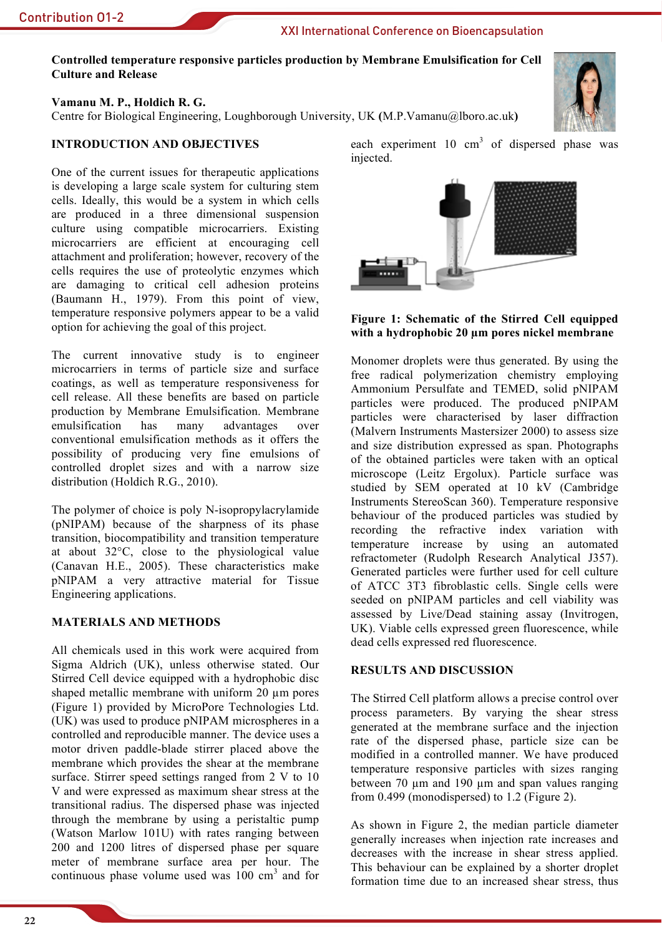**Contribution 01-2** 

## XXI International Conference on Bioencapsulation

Controlled temperature responsive particles production by Membrane Emulsification for Cell **Culture and Release** 

Vamanu M. P., Holdich R. G.

Centre for Biological Engineering, Loughborough University, UK (M.P.Vamanu@lboro.ac.uk)

# **INTRODUCTION AND OBJECTIVES**

One of the current issues for therapeutic applications is developing a large scale system for culturing stem cells. Ideally, this would be a system in which cells are produced in a three dimensional suspension culture using compatible microcarriers. Existing microcarriers are efficient at encouraging cell attachment and proliferation; however, recovery of the cells requires the use of proteolytic enzymes which are damaging to critical cell adhesion proteins (Baumann H., 1979). From this point of view, temperature responsive polymers appear to be a valid option for achieving the goal of this project.

The current innovative study is to engineer microcarriers in terms of particle size and surface coatings, as well as temperature responsiveness for cell release. All these benefits are based on particle production by Membrane Emulsification. Membrane emulsification has many advantages over conventional emulsification methods as it offers the possibility of producing very fine emulsions of controlled droplet sizes and with a narrow size distribution (Holdich R.G., 2010).

The polymer of choice is poly N-isopropylacrylamide (pNIPAM) because of the sharpness of its phase transition, biocompatibility and transition temperature at about  $32^{\circ}$ C, close to the physiological value (Canavan H.E., 2005). These characteristics make pNIPAM a very attractive material for Tissue Engineering applications.

### **MATERIALS AND METHODS**

All chemicals used in this work were acquired from Sigma Aldrich (UK), unless otherwise stated. Our Stirred Cell device equipped with a hydrophobic disc shaped metallic membrane with uniform 20 um pores (Figure 1) provided by MicroPore Technologies Ltd. (UK) was used to produce pNIPAM microspheres in a controlled and reproducible manner. The device uses a motor driven paddle-blade stirrer placed above the membrane which provides the shear at the membrane surface. Stirrer speed settings ranged from 2 V to 10 V and were expressed as maximum shear stress at the transitional radius. The dispersed phase was injected through the membrane by using a peristaltic pump (Watson Marlow 101U) with rates ranging between 200 and 1200 litres of dispersed phase per square meter of membrane surface area per hour. The continuous phase volume used was  $100 \text{ cm}^3$  and for

each experiment  $10 \text{ cm}^3$  of dispersed phase was injected.



Monomer droplets were thus generated. By using the free radical polymerization chemistry employing Ammonium Persulfate and TEMED, solid pNIPAM particles were produced. The produced pNIPAM particles were characterised by laser diffraction (Malvern Instruments Mastersizer 2000) to assess size and size distribution expressed as span. Photographs of the obtained particles were taken with an optical microscope (Leitz Ergolux). Particle surface was studied by SEM operated at 10 kV (Cambridge Instruments StereoScan 360). Temperature responsive behaviour of the produced particles was studied by recording the refractive index variation with temperature increase by using an automated refractometer (Rudolph Research Analytical J357). Generated particles were further used for cell culture of ATCC 3T3 fibroblastic cells. Single cells were seeded on pNIPAM particles and cell viability was assessed by Live/Dead staining assay (Invitrogen, UK). Viable cells expressed green fluorescence, while dead cells expressed red fluorescence.

### **RESULTS AND DISCUSSION**

The Stirred Cell platform allows a precise control over process parameters. By varying the shear stress generated at the membrane surface and the injection rate of the dispersed phase, particle size can be modified in a controlled manner. We have produced temperature responsive particles with sizes ranging between 70 um and 190 um and span values ranging from 0.499 (monodispersed) to  $1.2$  (Figure 2).

As shown in Figure 2, the median particle diameter generally increases when injection rate increases and decreases with the increase in shear stress applied. This behaviour can be explained by a shorter droplet formation time due to an increased shear stress, thus